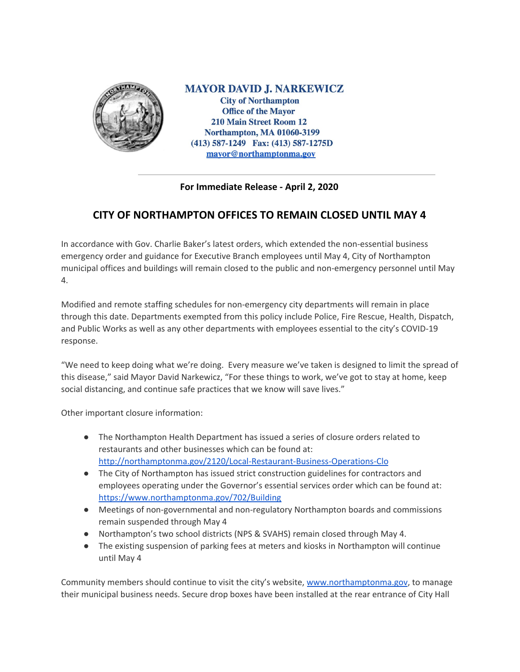

**MAYOR DAVID J. NARKEWICZ City of Northampton Office of the Mayor** 210 Main Street Room 12 **Northampton, MA 01060-3199** (413) 587-1249 Fax: (413) 587-1275D mayor@northamptonma.gov

## **For Immediate Release - April 2, 2020**

## **CITY OF NORTHAMPTON OFFICES TO REMAIN CLOSED UNTIL MAY 4**

In accordance with Gov. Charlie Baker's latest orders, which extended the non-essential business emergency order and guidance for Executive Branch employees until May 4, City of Northampton municipal offices and buildings will remain closed to the public and non-emergency personnel until May 4.

Modified and remote staffing schedules for non-emergency city departments will remain in place through this date. Departments exempted from this policy include Police, Fire Rescue, Health, Dispatch, and Public Works as well as any other departments with employees essential to the city's COVID-19 response.

"We need to keep doing what we're doing. Every measure we've taken is designed to limit the spread of this disease," said Mayor David Narkewicz, "For these things to work, we've got to stay at home, keep social distancing, and continue safe practices that we know will save lives."

Other important closure information:

- The Northampton Health Department has issued a series of closure orders related to restaurants and other businesses which can be found at: <http://northamptonma.gov/2120/Local-Restaurant-Business-Operations-Clo>
- The City of Northampton has issued strict construction guidelines for contractors and employees operating under the Governor's essential services order which can be found at: <https://www.northamptonma.gov/702/Building>
- Meetings of non-governmental and non-regulatory Northampton boards and commissions remain suspended through May 4
- Northampton's two school districts (NPS & SVAHS) remain closed through May 4.
- The existing suspension of parking fees at meters and kiosks in Northampton will continue until May 4

Community members should continue to visit the city's website, [www.northamptonma.gov](http://www.northamptonma.gov/), to manage their municipal business needs. Secure drop boxes have been installed at the rear entrance of City Hall